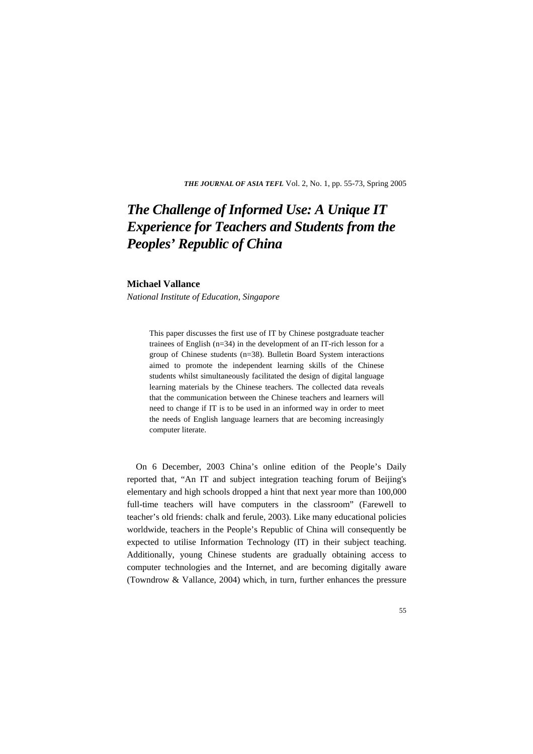*THE JOURNAL OF ASIA TEFL* Vol. 2, No. 1, pp. 55-73, Spring 2005

# *The Challenge of Informed Use: A Unique IT Experience for Teachers and Students from the Peoples' Republic of China*

#### **Michael Vallance**

*National Institute of Education, Singapore* 

This paper discusses the first use of IT by Chinese postgraduate teacher trainees of English (n=34) in the development of an IT-rich lesson for a group of Chinese students (n=38). Bulletin Board System interactions aimed to promote the independent learning skills of the Chinese students whilst simultaneously facilitated the design of digital language learning materials by the Chinese teachers. The collected data reveals that the communication between the Chinese teachers and learners will need to change if IT is to be used in an informed way in order to meet the needs of English language learners that are becoming increasingly computer literate.

On 6 December, 2003 China's online edition of the People's Daily reported that, "An IT and subject integration teaching forum of Beijing's elementary and high schools dropped a hint that next year more than 100,000 full-time teachers will have computers in the classroom" (Farewell to teacher's old friends: chalk and ferule, 2003). Like many educational policies worldwide, teachers in the People's Republic of China will consequently be expected to utilise Information Technology (IT) in their subject teaching. Additionally, young Chinese students are gradually obtaining access to computer technologies and the Internet, and are becoming digitally aware (Towndrow & Vallance, 2004) which, in turn, further enhances the pressure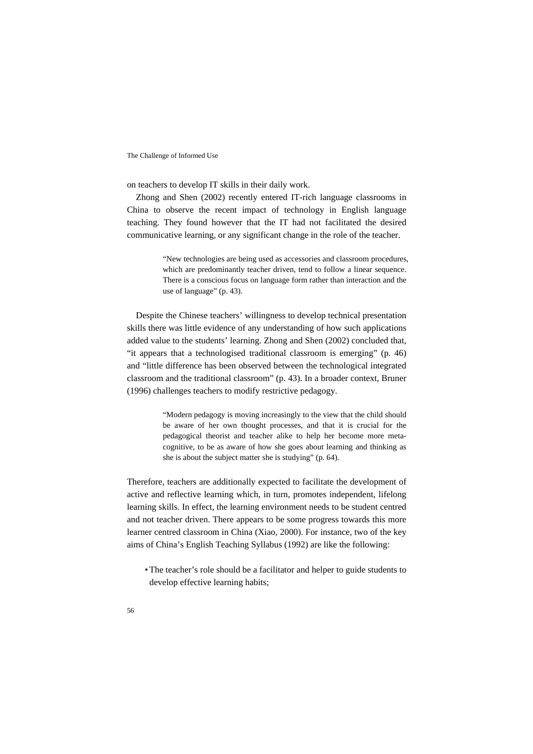on teachers to develop IT skills in their daily work.

Zhong and Shen (2002) recently entered IT-rich language classrooms in China to observe the recent impact of technology in English language teaching. They found however that the IT had not facilitated the desired communicative learning, or any significant change in the role of the teacher.

> "New technologies are being used as accessories and classroom procedures, which are predominantly teacher driven, tend to follow a linear sequence. There is a conscious focus on language form rather than interaction and the use of language" (p. 43).

Despite the Chinese teachers' willingness to develop technical presentation skills there was little evidence of any understanding of how such applications added value to the students' learning. Zhong and Shen (2002) concluded that, "it appears that a technologised traditional classroom is emerging" (p. 46) and "little difference has been observed between the technological integrated classroom and the traditional classroom" (p. 43). In a broader context, Bruner (1996) challenges teachers to modify restrictive pedagogy.

> "Modern pedagogy is moving increasingly to the view that the child should be aware of her own thought processes, and that it is crucial for the pedagogical theorist and teacher alike to help her become more metacognitive, to be as aware of how she goes about learning and thinking as she is about the subject matter she is studying" (p. 64).

Therefore, teachers are additionally expected to facilitate the development of active and reflective learning which, in turn, promotes independent, lifelong learning skills. In effect, the learning environment needs to be student centred and not teacher driven. There appears to be some progress towards this more learner centred classroom in China (Xiao, 2000). For instance, two of the key aims of China's English Teaching Syllabus (1992) are like the following:

• The teacher's role should be a facilitator and helper to guide students to develop effective learning habits;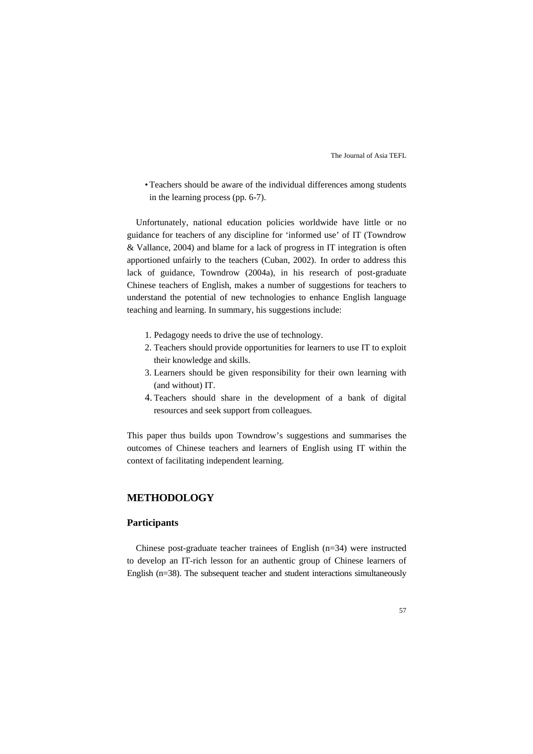• Teachers should be aware of the individual differences among students in the learning process (pp. 6-7).

Unfortunately, national education policies worldwide have little or no guidance for teachers of any discipline for 'informed use' of IT (Towndrow & Vallance, 2004) and blame for a lack of progress in IT integration is often apportioned unfairly to the teachers (Cuban, 2002). In order to address this lack of guidance, Towndrow (2004a), in his research of post-graduate Chinese teachers of English, makes a number of suggestions for teachers to understand the potential of new technologies to enhance English language teaching and learning. In summary, his suggestions include:

- 1. Pedagogy needs to drive the use of technology.
- 2. Teachers should provide opportunities for learners to use IT to exploit their knowledge and skills.
- 3. Learners should be given responsibility for their own learning with (and without) IT.
- 4. Teachers should share in the development of a bank of digital resources and seek support from colleagues.

This paper thus builds upon Towndrow's suggestions and summarises the outcomes of Chinese teachers and learners of English using IT within the context of facilitating independent learning.

### **METHODOLOGY**

### **Participants**

Chinese post-graduate teacher trainees of English (n=34) were instructed to develop an IT-rich lesson for an authentic group of Chinese learners of English (n=38). The subsequent teacher and student interactions simultaneously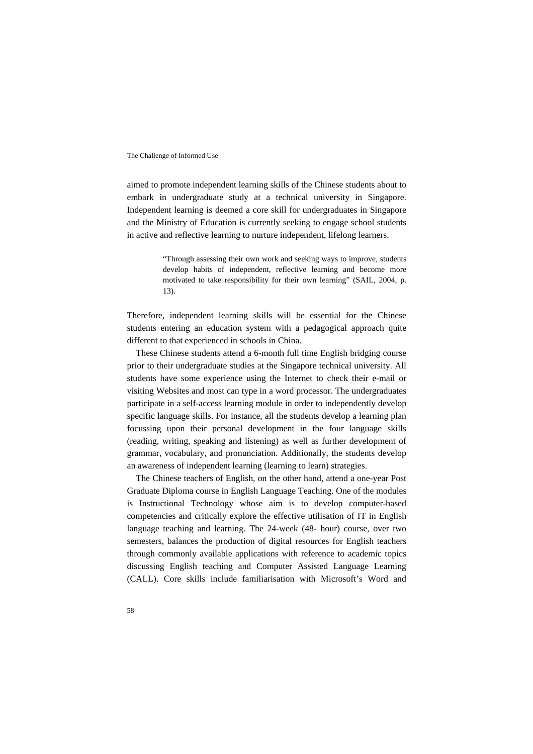aimed to promote independent learning skills of the Chinese students about to embark in undergraduate study at a technical university in Singapore. Independent learning is deemed a core skill for undergraduates in Singapore and the Ministry of Education is currently seeking to engage school students in active and reflective learning to nurture independent, lifelong learners.

> "Through assessing their own work and seeking ways to improve, students develop habits of independent, reflective learning and become more motivated to take responsibility for their own learning" (SAIL, 2004, p. 13).

Therefore, independent learning skills will be essential for the Chinese students entering an education system with a pedagogical approach quite different to that experienced in schools in China.

These Chinese students attend a 6-month full time English bridging course prior to their undergraduate studies at the Singapore technical university. All students have some experience using the Internet to check their e-mail or visiting Websites and most can type in a word processor. The undergraduates participate in a self-access learning module in order to independently develop specific language skills. For instance, all the students develop a learning plan focussing upon their personal development in the four language skills (reading, writing, speaking and listening) as well as further development of grammar, vocabulary, and pronunciation. Additionally, the students develop an awareness of independent learning (learning to learn) strategies.

The Chinese teachers of English, on the other hand, attend a one-year Post Graduate Diploma course in English Language Teaching. One of the modules is Instructional Technology whose aim is to develop computer-based competencies and critically explore the effective utilisation of IT in English language teaching and learning. The 24-week (48- hour) course, over two semesters, balances the production of digital resources for English teachers through commonly available applications with reference to academic topics discussing English teaching and Computer Assisted Language Learning (CALL). Core skills include familiarisation with Microsoft's Word and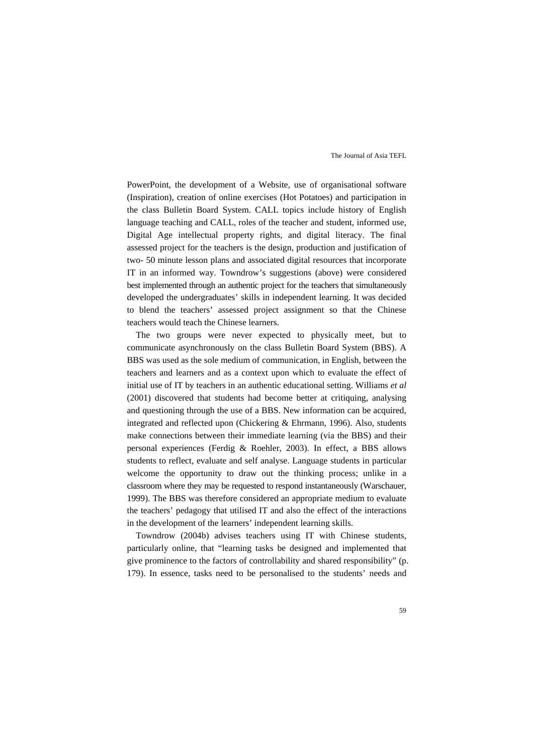PowerPoint, the development of a Website, use of organisational software (Inspiration), creation of online exercises (Hot Potatoes) and participation in the class Bulletin Board System. CALL topics include history of English language teaching and CALL, roles of the teacher and student, informed use, Digital Age intellectual property rights, and digital literacy. The final assessed project for the teachers is the design, production and justification of two- 50 minute lesson plans and associated digital resources that incorporate IT in an informed way. Towndrow's suggestions (above) were considered best implemented through an authentic project for the teachers that simultaneously developed the undergraduates' skills in independent learning. It was decided to blend the teachers' assessed project assignment so that the Chinese teachers would teach the Chinese learners.

The two groups were never expected to physically meet, but to communicate asynchronously on the class Bulletin Board System (BBS). A BBS was used as the sole medium of communication, in English, between the teachers and learners and as a context upon which to evaluate the effect of initial use of IT by teachers in an authentic educational setting. Williams *et al* (2001) discovered that students had become better at critiquing, analysing and questioning through the use of a BBS. New information can be acquired, integrated and reflected upon (Chickering & Ehrmann, 1996). Also, students make connections between their immediate learning (via the BBS) and their personal experiences (Ferdig & Roehler, 2003). In effect, a BBS allows students to reflect, evaluate and self analyse. Language students in particular welcome the opportunity to draw out the thinking process; unlike in a classroom where they may be requested to respond instantaneously (Warschauer, 1999). The BBS was therefore considered an appropriate medium to evaluate the teachers' pedagogy that utilised IT and also the effect of the interactions in the development of the learners' independent learning skills.

Towndrow (2004b) advises teachers using IT with Chinese students, particularly online, that "learning tasks be designed and implemented that give prominence to the factors of controllability and shared responsibility" (p. 179). In essence, tasks need to be personalised to the students' needs and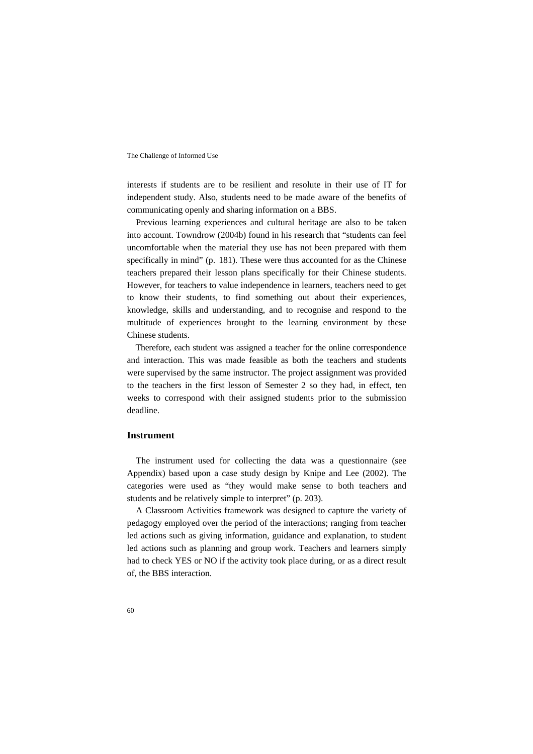interests if students are to be resilient and resolute in their use of IT for independent study. Also, students need to be made aware of the benefits of communicating openly and sharing information on a BBS.

Previous learning experiences and cultural heritage are also to be taken into account. Towndrow (2004b) found in his research that "students can feel uncomfortable when the material they use has not been prepared with them specifically in mind" (p. 181). These were thus accounted for as the Chinese teachers prepared their lesson plans specifically for their Chinese students. However, for teachers to value independence in learners, teachers need to get to know their students, to find something out about their experiences, knowledge, skills and understanding, and to recognise and respond to the multitude of experiences brought to the learning environment by these Chinese students.

Therefore, each student was assigned a teacher for the online correspondence and interaction. This was made feasible as both the teachers and students were supervised by the same instructor. The project assignment was provided to the teachers in the first lesson of Semester 2 so they had, in effect, ten weeks to correspond with their assigned students prior to the submission deadline.

#### **Instrument**

The instrument used for collecting the data was a questionnaire (see Appendix) based upon a case study design by Knipe and Lee (2002). The categories were used as "they would make sense to both teachers and students and be relatively simple to interpret" (p. 203).

A Classroom Activities framework was designed to capture the variety of pedagogy employed over the period of the interactions; ranging from teacher led actions such as giving information, guidance and explanation, to student led actions such as planning and group work. Teachers and learners simply had to check YES or NO if the activity took place during, or as a direct result of, the BBS interaction.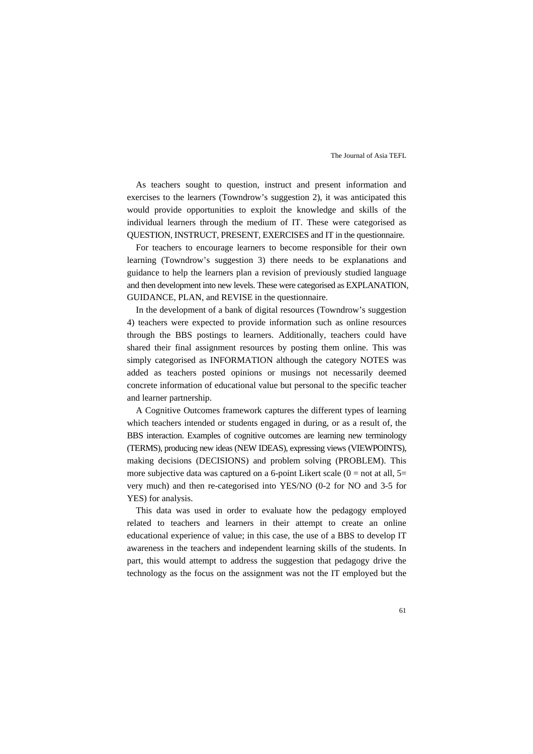As teachers sought to question, instruct and present information and exercises to the learners (Towndrow's suggestion 2), it was anticipated this would provide opportunities to exploit the knowledge and skills of the individual learners through the medium of IT. These were categorised as QUESTION, INSTRUCT, PRESENT, EXERCISES and IT in the questionnaire.

For teachers to encourage learners to become responsible for their own learning (Towndrow's suggestion 3) there needs to be explanations and guidance to help the learners plan a revision of previously studied language and then development into new levels. These were categorised as EXPLANATION, GUIDANCE, PLAN, and REVISE in the questionnaire.

In the development of a bank of digital resources (Towndrow's suggestion 4) teachers were expected to provide information such as online resources through the BBS postings to learners. Additionally, teachers could have shared their final assignment resources by posting them online. This was simply categorised as INFORMATION although the category NOTES was added as teachers posted opinions or musings not necessarily deemed concrete information of educational value but personal to the specific teacher and learner partnership.

A Cognitive Outcomes framework captures the different types of learning which teachers intended or students engaged in during, or as a result of, the BBS interaction. Examples of cognitive outcomes are learning new terminology (TERMS), producing new ideas (NEW IDEAS), expressing views (VIEWPOINTS), making decisions (DECISIONS) and problem solving (PROBLEM). This more subjective data was captured on a 6-point Likert scale  $(0 = not at all, 5 =$ very much) and then re-categorised into YES/NO (0-2 for NO and 3-5 for YES) for analysis.

This data was used in order to evaluate how the pedagogy employed related to teachers and learners in their attempt to create an online educational experience of value; in this case, the use of a BBS to develop IT awareness in the teachers and independent learning skills of the students. In part, this would attempt to address the suggestion that pedagogy drive the technology as the focus on the assignment was not the IT employed but the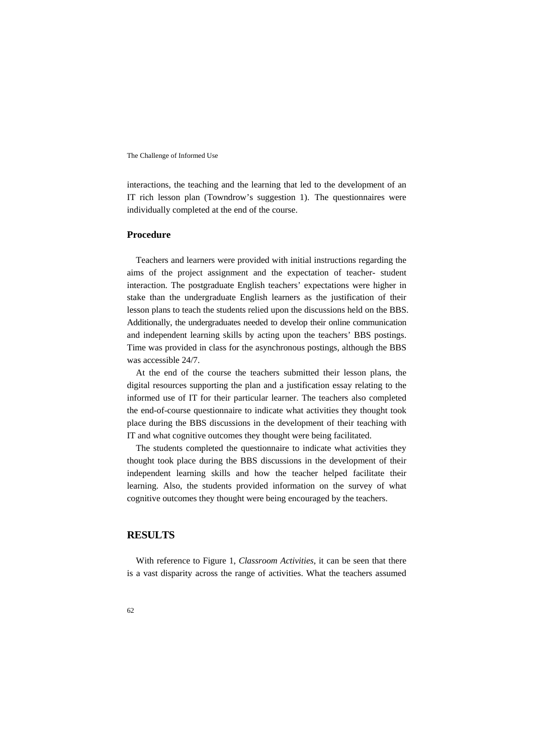interactions, the teaching and the learning that led to the development of an IT rich lesson plan (Towndrow's suggestion 1). The questionnaires were individually completed at the end of the course.

#### **Procedure**

Teachers and learners were provided with initial instructions regarding the aims of the project assignment and the expectation of teacher- student interaction. The postgraduate English teachers' expectations were higher in stake than the undergraduate English learners as the justification of their lesson plans to teach the students relied upon the discussions held on the BBS. Additionally, the undergraduates needed to develop their online communication and independent learning skills by acting upon the teachers' BBS postings. Time was provided in class for the asynchronous postings, although the BBS was accessible 24/7.

At the end of the course the teachers submitted their lesson plans, the digital resources supporting the plan and a justification essay relating to the informed use of IT for their particular learner. The teachers also completed the end-of-course questionnaire to indicate what activities they thought took place during the BBS discussions in the development of their teaching with IT and what cognitive outcomes they thought were being facilitated.

The students completed the questionnaire to indicate what activities they thought took place during the BBS discussions in the development of their independent learning skills and how the teacher helped facilitate their learning. Also, the students provided information on the survey of what cognitive outcomes they thought were being encouraged by the teachers.

### **RESULTS**

With reference to Figure 1, *Classroom Activities*, it can be seen that there is a vast disparity across the range of activities. What the teachers assumed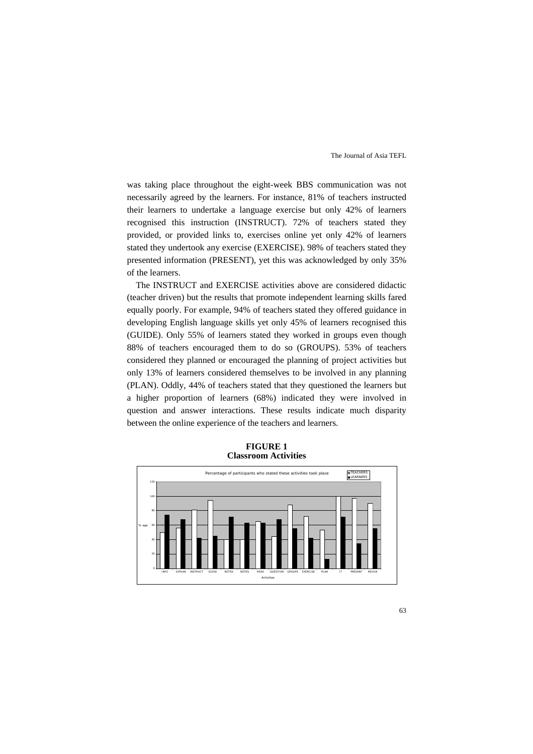was taking place throughout the eight-week BBS communication was not necessarily agreed by the learners. For instance, 81% of teachers instructed their learners to undertake a language exercise but only 42% of learners recognised this instruction (INSTRUCT). 72% of teachers stated they provided, or provided links to, exercises online yet only 42% of learners stated they undertook any exercise (EXERCISE). 98% of teachers stated they presented information (PRESENT), yet this was acknowledged by only 35% of the learners.

The INSTRUCT and EXERCISE activities above are considered didactic (teacher driven) but the results that promote independent learning skills fared equally poorly. For example, 94% of teachers stated they offered guidance in developing English language skills yet only 45% of learners recognised this (GUIDE). Only 55% of learners stated they worked in groups even though 88% of teachers encouraged them to do so (GROUPS). 53% of teachers considered they planned or encouraged the planning of project activities but only 13% of learners considered themselves to be involved in any planning (PLAN). Oddly, 44% of teachers stated that they questioned the learners but a higher proportion of learners (68%) indicated they were involved in question and answer interactions. These results indicate much disparity between the online experience of the teachers and learners.



**FIGURE 1 Classroom Activities**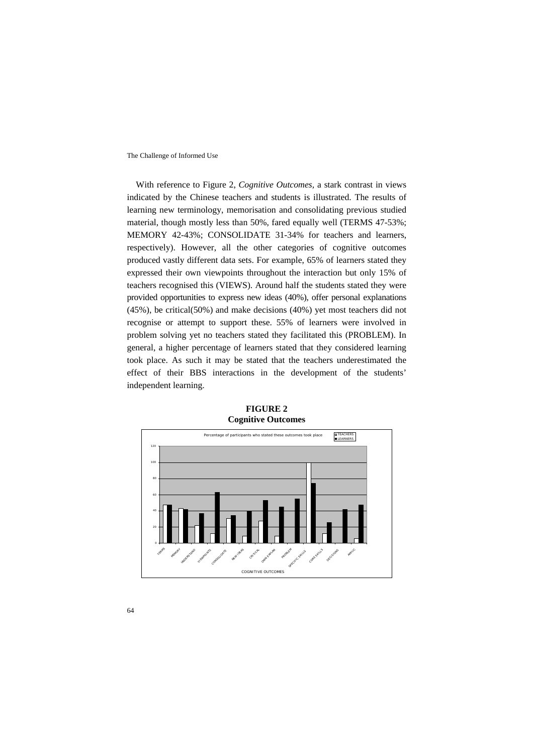With reference to Figure 2, *Cognitive Outcomes,* a stark contrast in views indicated by the Chinese teachers and students is illustrated. The results of learning new terminology, memorisation and consolidating previous studied material, though mostly less than 50%, fared equally well (TERMS 47-53%; MEMORY 42-43%; CONSOLIDATE 31-34% for teachers and learners, respectively). However, all the other categories of cognitive outcomes produced vastly different data sets. For example, 65% of learners stated they expressed their own viewpoints throughout the interaction but only 15% of teachers recognised this (VIEWS). Around half the students stated they were provided opportunities to express new ideas (40%), offer personal explanations (45%), be critical(50%) and make decisions (40%) yet most teachers did not recognise or attempt to support these. 55% of learners were involved in problem solving yet no teachers stated they facilitated this (PROBLEM). In general, a higher percentage of learners stated that they considered learning took place. As such it may be stated that the teachers underestimated the effect of their BBS interactions in the development of the students' independent learning.



**FIGURE 2 Cognitive Outcomes**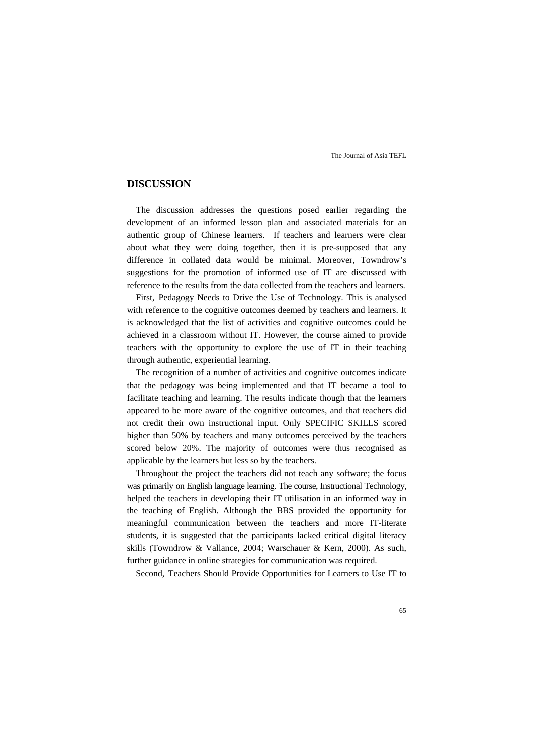### **DISCUSSION**

The discussion addresses the questions posed earlier regarding the development of an informed lesson plan and associated materials for an authentic group of Chinese learners. If teachers and learners were clear about what they were doing together, then it is pre-supposed that any difference in collated data would be minimal. Moreover, Towndrow's suggestions for the promotion of informed use of IT are discussed with reference to the results from the data collected from the teachers and learners.

First, Pedagogy Needs to Drive the Use of Technology. This is analysed with reference to the cognitive outcomes deemed by teachers and learners. It is acknowledged that the list of activities and cognitive outcomes could be achieved in a classroom without IT. However, the course aimed to provide teachers with the opportunity to explore the use of IT in their teaching through authentic, experiential learning.

The recognition of a number of activities and cognitive outcomes indicate that the pedagogy was being implemented and that IT became a tool to facilitate teaching and learning. The results indicate though that the learners appeared to be more aware of the cognitive outcomes, and that teachers did not credit their own instructional input. Only SPECIFIC SKILLS scored higher than 50% by teachers and many outcomes perceived by the teachers scored below 20%. The majority of outcomes were thus recognised as applicable by the learners but less so by the teachers.

Throughout the project the teachers did not teach any software; the focus was primarily on English language learning. The course, Instructional Technology, helped the teachers in developing their IT utilisation in an informed way in the teaching of English. Although the BBS provided the opportunity for meaningful communication between the teachers and more IT-literate students, it is suggested that the participants lacked critical digital literacy skills (Towndrow & Vallance, 2004; Warschauer & Kern, 2000). As such, further guidance in online strategies for communication was required.

Second, Teachers Should Provide Opportunities for Learners to Use IT to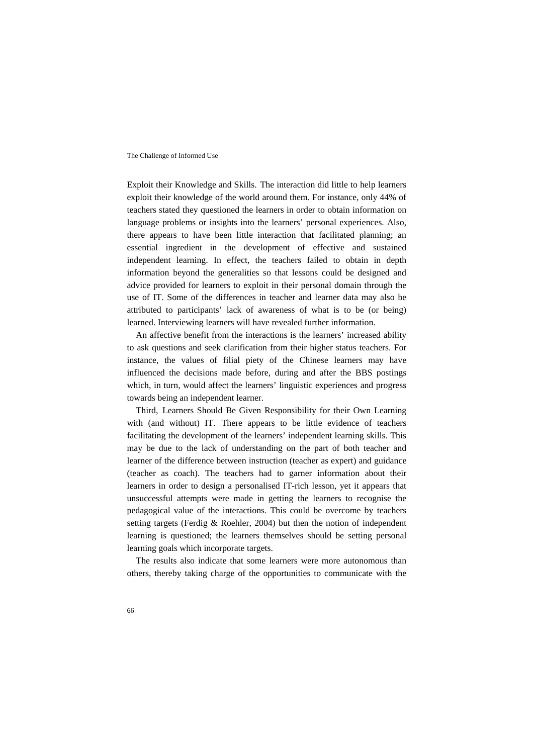Exploit their Knowledge and Skills. The interaction did little to help learners exploit their knowledge of the world around them. For instance, only 44% of teachers stated they questioned the learners in order to obtain information on language problems or insights into the learners' personal experiences. Also, there appears to have been little interaction that facilitated planning; an essential ingredient in the development of effective and sustained independent learning. In effect, the teachers failed to obtain in depth information beyond the generalities so that lessons could be designed and advice provided for learners to exploit in their personal domain through the use of IT. Some of the differences in teacher and learner data may also be attributed to participants' lack of awareness of what is to be (or being) learned. Interviewing learners will have revealed further information.

An affective benefit from the interactions is the learners' increased ability to ask questions and seek clarification from their higher status teachers. For instance, the values of filial piety of the Chinese learners may have influenced the decisions made before, during and after the BBS postings which, in turn, would affect the learners' linguistic experiences and progress towards being an independent learner.

Third, Learners Should Be Given Responsibility for their Own Learning with (and without) IT. There appears to be little evidence of teachers facilitating the development of the learners' independent learning skills. This may be due to the lack of understanding on the part of both teacher and learner of the difference between instruction (teacher as expert) and guidance (teacher as coach). The teachers had to garner information about their learners in order to design a personalised IT-rich lesson, yet it appears that unsuccessful attempts were made in getting the learners to recognise the pedagogical value of the interactions. This could be overcome by teachers setting targets (Ferdig & Roehler, 2004) but then the notion of independent learning is questioned; the learners themselves should be setting personal learning goals which incorporate targets.

The results also indicate that some learners were more autonomous than others, thereby taking charge of the opportunities to communicate with the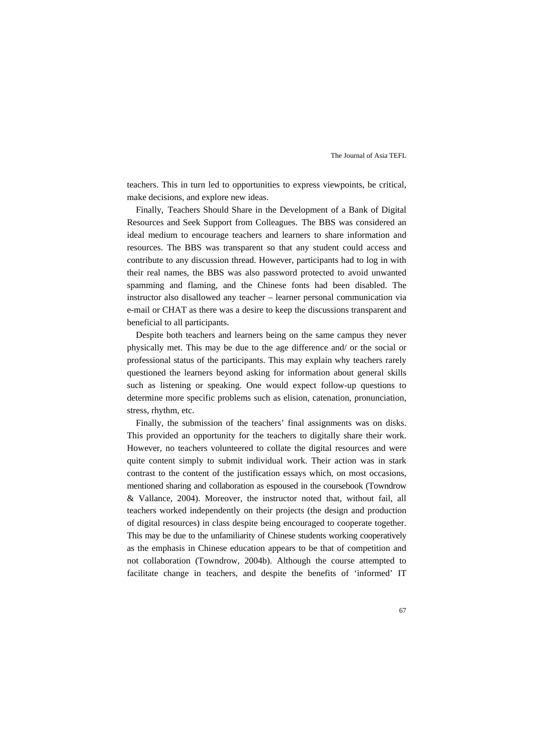teachers. This in turn led to opportunities to express viewpoints, be critical, make decisions, and explore new ideas.

Finally, Teachers Should Share in the Development of a Bank of Digital Resources and Seek Support from Colleagues. The BBS was considered an ideal medium to encourage teachers and learners to share information and resources. The BBS was transparent so that any student could access and contribute to any discussion thread. However, participants had to log in with their real names, the BBS was also password protected to avoid unwanted spamming and flaming, and the Chinese fonts had been disabled. The instructor also disallowed any teacher – learner personal communication via e-mail or CHAT as there was a desire to keep the discussions transparent and beneficial to all participants.

Despite both teachers and learners being on the same campus they never physically met. This may be due to the age difference and/ or the social or professional status of the participants. This may explain why teachers rarely questioned the learners beyond asking for information about general skills such as listening or speaking. One would expect follow-up questions to determine more specific problems such as elision, catenation, pronunciation, stress, rhythm, etc.

Finally, the submission of the teachers' final assignments was on disks. This provided an opportunity for the teachers to digitally share their work. However, no teachers volunteered to collate the digital resources and were quite content simply to submit individual work. Their action was in stark contrast to the content of the justification essays which, on most occasions, mentioned sharing and collaboration as espoused in the coursebook (Towndrow & Vallance, 2004). Moreover, the instructor noted that, without fail, all teachers worked independently on their projects (the design and production of digital resources) in class despite being encouraged to cooperate together. This may be due to the unfamiliarity of Chinese students working cooperatively as the emphasis in Chinese education appears to be that of competition and not collaboration (Towndrow, 2004b). Although the course attempted to facilitate change in teachers, and despite the benefits of 'informed' IT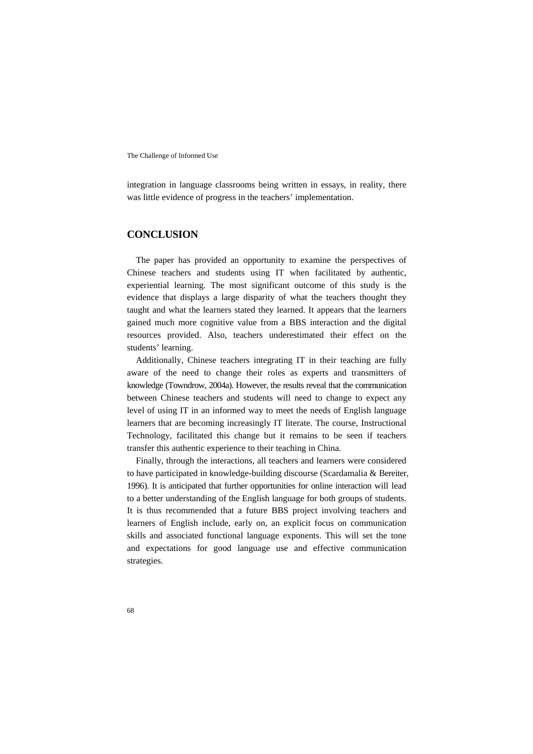integration in language classrooms being written in essays, in reality, there was little evidence of progress in the teachers' implementation.

### **CONCLUSION**

The paper has provided an opportunity to examine the perspectives of Chinese teachers and students using IT when facilitated by authentic, experiential learning. The most significant outcome of this study is the evidence that displays a large disparity of what the teachers thought they taught and what the learners stated they learned. It appears that the learners gained much more cognitive value from a BBS interaction and the digital resources provided. Also, teachers underestimated their effect on the students' learning.

Additionally, Chinese teachers integrating IT in their teaching are fully aware of the need to change their roles as experts and transmitters of knowledge (Towndrow, 2004a). However, the results reveal that the communication between Chinese teachers and students will need to change to expect any level of using IT in an informed way to meet the needs of English language learners that are becoming increasingly IT literate. The course, Instructional Technology, facilitated this change but it remains to be seen if teachers transfer this authentic experience to their teaching in China.

Finally, through the interactions, all teachers and learners were considered to have participated in knowledge-building discourse (Scardamalia & Bereiter, 1996). It is anticipated that further opportunities for online interaction will lead to a better understanding of the English language for both groups of students. It is thus recommended that a future BBS project involving teachers and learners of English include, early on, an explicit focus on communication skills and associated functional language exponents. This will set the tone and expectations for good language use and effective communication strategies.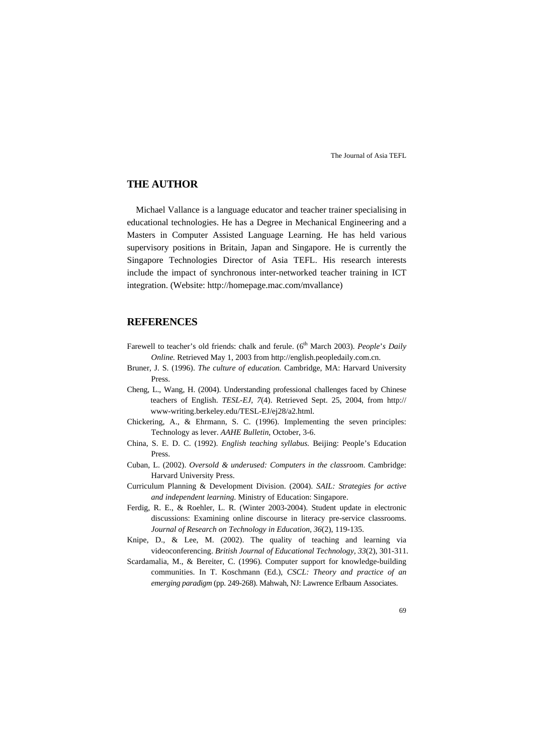### **THE AUTHOR**

Michael Vallance is a language educator and teacher trainer specialising in educational technologies. He has a Degree in Mechanical Engineering and a Masters in Computer Assisted Language Learning. He has held various supervisory positions in Britain, Japan and Singapore. He is currently the Singapore Technologies Director of Asia TEFL. His research interests include the impact of synchronous inter-networked teacher training in ICT integration. (Website: http://homepage.mac.com/mvallance)

### **REFERENCES**

- Farewell to teacher's old friends: chalk and ferule. (6<sup>th</sup> March 2003). *People's Daily Online.* Retrieved May 1, 2003 from http://english.peopledaily.com.cn.
- Bruner, J. S. (1996). *The culture of education.* Cambridge, MA: Harvard University Press.
- Cheng, L., Wang, H. (2004). Understanding professional challenges faced by Chinese teachers of English. *TESL-EJ, 7*(4). Retrieved Sept. 25, 2004, from http:// www-writing.berkeley.edu/TESL-EJ/ej28/a2.html.
- Chickering, A., & Ehrmann, S. C. (1996). Implementing the seven principles: Technology as lever. *AAHE Bulletin*, October, 3-6.
- China, S. E. D. C. (1992). *English teaching syllabus.* Beijing: People's Education Press.
- Cuban, L. (2002). *Oversold & underused: Computers in the classroom*. Cambridge: Harvard University Press.
- Curriculum Planning & Development Division. (2004). *SAIL: Strategies for active and independent learning*. Ministry of Education: Singapore.
- Ferdig, R. E., & Roehler, L. R. (Winter 2003-2004). Student update in electronic discussions: Examining online discourse in literacy pre-service classrooms. *Journal of Research on Technology in Education, 36*(2), 119-135.
- Knipe, D., & Lee, M. (2002). The quality of teaching and learning via videoconferencing. *British Journal of Educational Technology, 33*(2), 301-311.
- Scardamalia, M., & Bereiter, C. (1996). Computer support for knowledge-building communities. In T. Koschmann (Ed.), *CSCL: Theory and practice of an emerging paradigm* (pp. 249-268). Mahwah, NJ: Lawrence Erlbaum Associates.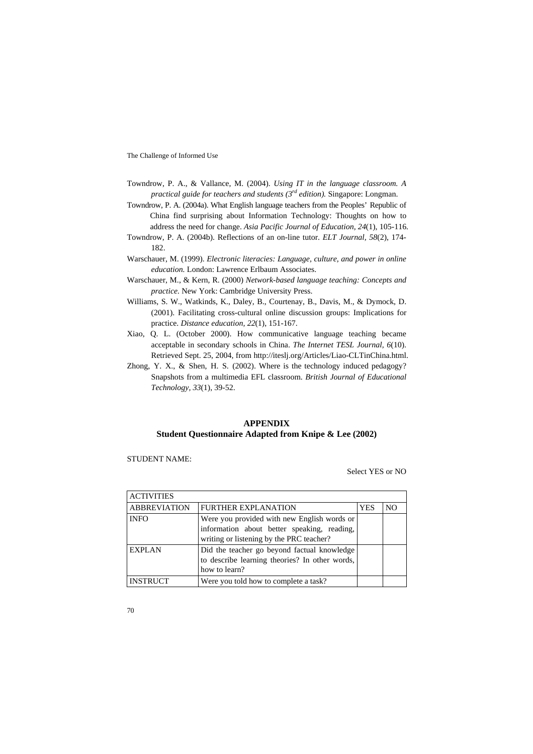- Towndrow, P. A., & Vallance, M. (2004). *Using IT in the language classroom. A practical guide for teachers and students (3rd edition).* Singapore: Longman.
- Towndrow, P. A. (2004a). What English language teachers from the Peoples' Republic of China find surprising about Information Technology: Thoughts on how to address the need for change. *Asia Pacific Journal of Education, 24*(1), 105-116.
- Towndrow, P. A. (2004b). Reflections of an on-line tutor. *ELT Journal, 58*(2), 174- 182.
- Warschauer, M. (1999). *Electronic literacies: Language, culture, and power in online education.* London: Lawrence Erlbaum Associates.
- Warschauer, M., & Kern, R. (2000) *Network-based language teaching: Concepts and practice.* New York: Cambridge University Press.
- Williams, S. W., Watkinds, K., Daley, B., Courtenay, B., Davis, M., & Dymock, D. (2001). Facilitating cross-cultural online discussion groups: Implications for practice. *Distance education, 22*(1), 151-167.
- Xiao, Q. L. (October 2000). How communicative language teaching became acceptable in secondary schools in China. *The Internet TESL Journal, 6*(10). Retrieved Sept. 25, 2004, from http://iteslj.org/Articles/Liao-CLTinChina.html.
- Zhong, Y. X., & Shen, H. S. (2002). Where is the technology induced pedagogy? Snapshots from a multimedia EFL classroom. *British Journal of Educational Technology, 33*(1), 39-52.

#### **APPENDIX Student Questionnaire Adapted from Knipe & Lee (2002)**

STUDENT NAME:

Select YES or NO

| <b>ACTIVITIES</b>   |                                                                                                                                        |            |    |
|---------------------|----------------------------------------------------------------------------------------------------------------------------------------|------------|----|
| <b>ABBREVIATION</b> | <b>FURTHER EXPLANATION</b>                                                                                                             | <b>YES</b> | NC |
| <b>INFO</b>         | Were you provided with new English words or<br>information about better speaking, reading,<br>writing or listening by the PRC teacher? |            |    |
| <b>EXPLAN</b>       | Did the teacher go beyond factual knowledge<br>to describe learning theories? In other words,<br>how to learn?                         |            |    |
| <b>INSTRUCT</b>     | Were you told how to complete a task?                                                                                                  |            |    |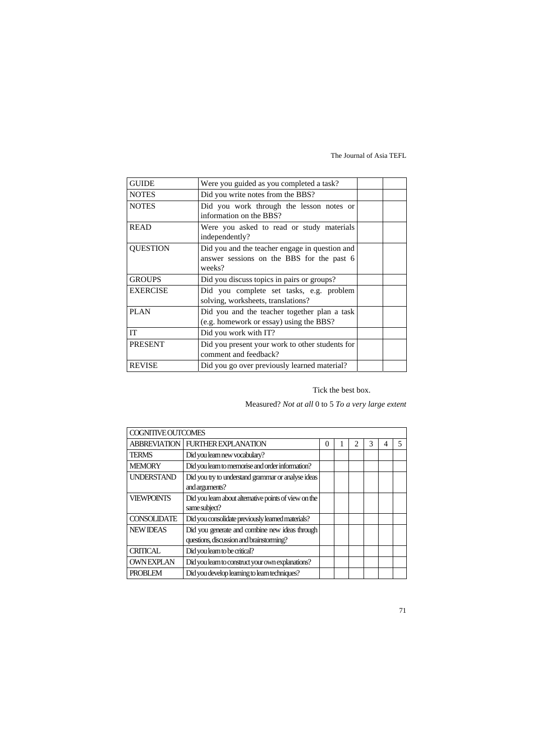| <b>GUIDE</b>    | Were you guided as you completed a task?                                                              |  |
|-----------------|-------------------------------------------------------------------------------------------------------|--|
| <b>NOTES</b>    | Did you write notes from the BBS?                                                                     |  |
| <b>NOTES</b>    | Did you work through the lesson notes or<br>information on the BBS?                                   |  |
| <b>READ</b>     | Were you asked to read or study materials<br>independently?                                           |  |
| <b>QUESTION</b> | Did you and the teacher engage in question and<br>answer sessions on the BBS for the past 6<br>weeks? |  |
| <b>GROUPS</b>   | Did you discuss topics in pairs or groups?                                                            |  |
| <b>EXERCISE</b> | Did you complete set tasks, e.g. problem<br>solving, worksheets, translations?                        |  |
| PLAN            | Did you and the teacher together plan a task<br>(e.g. homework or essay) using the BBS?               |  |
| IT              | Did you work with IT?                                                                                 |  |
| <b>PRESENT</b>  | Did you present your work to other students for<br>comment and feedback?                              |  |
| <b>REVISE</b>   | Did you go over previously learned material?                                                          |  |

### Tick the best box.

## Measured? *Not at all* 0 to 5 *To a very large extent*

| COGNITIVE OUTCOMES |                                                                                            |   |  |  |  |   |
|--------------------|--------------------------------------------------------------------------------------------|---|--|--|--|---|
|                    | <b>ABBREVIATION FURTHER EXPLANATION</b>                                                    | 0 |  |  |  | 5 |
| <b>TERMS</b>       | Did you learn new vocabulary?                                                              |   |  |  |  |   |
| <b>MEMORY</b>      | Did you learn to memorise and order information?                                           |   |  |  |  |   |
| <b>UNDERSTAND</b>  | Did you try to understand grammar or analyse ideas<br>and arguments?                       |   |  |  |  |   |
| <b>VIEWPOINTS</b>  | Did you learn about alternative points of view on the<br>same subject?                     |   |  |  |  |   |
| <b>CONSOLIDATE</b> | Did you consolidate previously learned materials?                                          |   |  |  |  |   |
| <b>NEW IDEAS</b>   | Did you generate and combine new ideas through<br>questions, discussion and brainstorming? |   |  |  |  |   |
| <b>CRITICAL</b>    | Did you learn to be critical?                                                              |   |  |  |  |   |
| <b>OWNEXPLAN</b>   | Did you learn to construct your own explanations?                                          |   |  |  |  |   |
| <b>PROBLEM</b>     | Did you develop learning to learn techniques?                                              |   |  |  |  |   |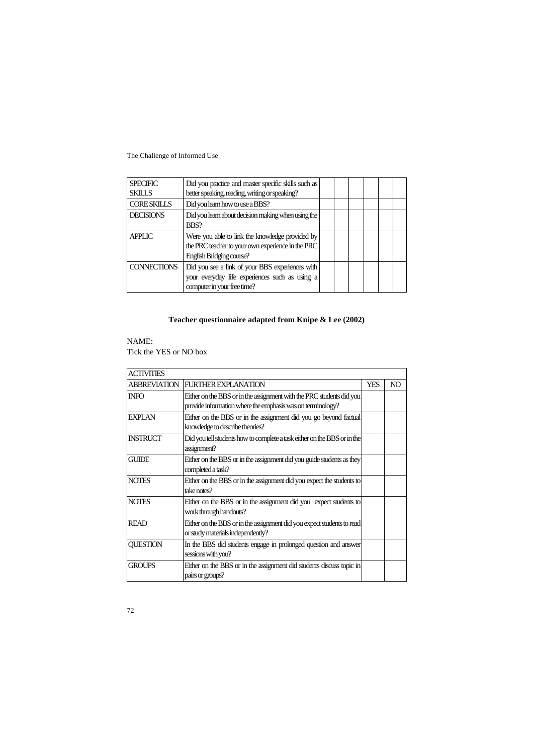| <b>SPECIFIC</b>    | Did you practice and master specific skills such as                                                                              |  |  |  |
|--------------------|----------------------------------------------------------------------------------------------------------------------------------|--|--|--|
| <b>SKILLS</b>      | better speaking, reading, writing or speaking?                                                                                   |  |  |  |
| <b>CORESKILLS</b>  | Did you learn how to use a BBS?                                                                                                  |  |  |  |
| <b>DECISIONS</b>   | Did you learn about decision making when using the<br>BBS?                                                                       |  |  |  |
| <b>APPLIC</b>      | Were you able to link the knowledge provided by<br>the PRC teacher to your own experience in the PRC<br>English Bridging course? |  |  |  |
| <b>CONNECTIONS</b> | Did you see a link of your BBS experiences with<br>your everyday life experiences such as using a<br>computer in your free time? |  |  |  |

# **Teacher questionnaire adapted from Knipe & Lee (2002)**

#### NAME:

Tick the YES or NO box

| <b>ACTIVITIES</b> |                                                                                                             |            |    |
|-------------------|-------------------------------------------------------------------------------------------------------------|------------|----|
| ABBREVIATION      | <b>FURTHER EXPLANATION</b>                                                                                  | <b>YES</b> | NO |
| <b>INFO</b>       | Either on the BBS or in the assignment with the PRC students did you                                        |            |    |
|                   | provide information where the emphasis was on terminology?                                                  |            |    |
| <b>EXPLAN</b>     | Either on the BBS or in the assignment did you go beyond factual                                            |            |    |
|                   | knowledge to describe theories?                                                                             |            |    |
| <b>INSTRUCT</b>   | Did you tell students how to complete a task either on the BBS or in the<br>assignment?                     |            |    |
| <b>GUIDE</b>      | Either on the BBS or in the assignment did you guide students as they<br>completed a task?                  |            |    |
| <b>NOTES</b>      | Either on the BBS or in the assignment did you expect the students to<br>take notes?                        |            |    |
| <b>NOTES</b>      | Either on the BBS or in the assignment did you expect students to<br>work through handouts?                 |            |    |
| <b>READ</b>       | Either on the BBS or in the assignment did you expect students to read<br>or study materials independently? |            |    |
| <b>QUESTION</b>   | In the BBS did students engage in prolonged question and answer<br>sessions with you?                       |            |    |
| <b>GROUPS</b>     | Either on the BBS or in the assignment did students discuss topic in<br>pairs or groups?                    |            |    |